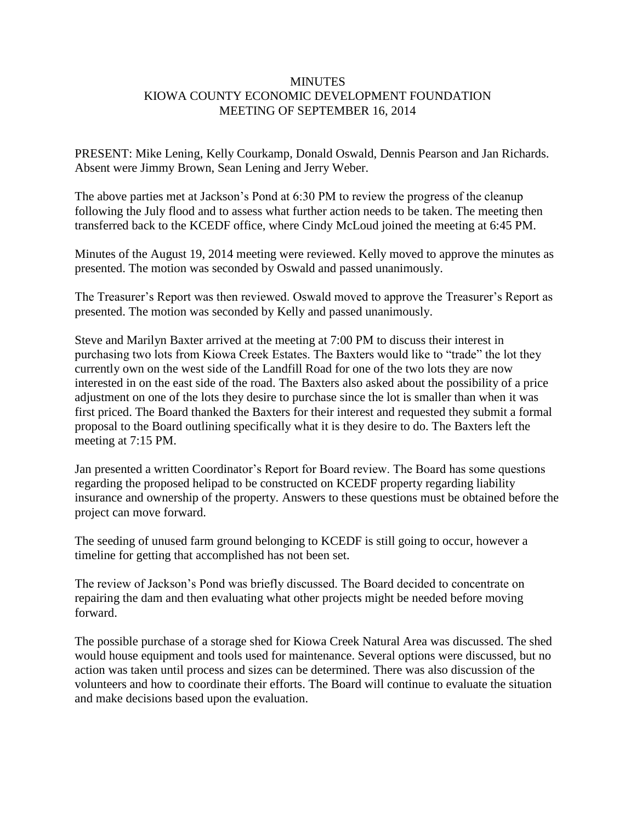## **MINUTES** KIOWA COUNTY ECONOMIC DEVELOPMENT FOUNDATION MEETING OF SEPTEMBER 16, 2014

PRESENT: Mike Lening, Kelly Courkamp, Donald Oswald, Dennis Pearson and Jan Richards. Absent were Jimmy Brown, Sean Lening and Jerry Weber.

The above parties met at Jackson's Pond at 6:30 PM to review the progress of the cleanup following the July flood and to assess what further action needs to be taken. The meeting then transferred back to the KCEDF office, where Cindy McLoud joined the meeting at 6:45 PM.

Minutes of the August 19, 2014 meeting were reviewed. Kelly moved to approve the minutes as presented. The motion was seconded by Oswald and passed unanimously.

The Treasurer's Report was then reviewed. Oswald moved to approve the Treasurer's Report as presented. The motion was seconded by Kelly and passed unanimously.

Steve and Marilyn Baxter arrived at the meeting at 7:00 PM to discuss their interest in purchasing two lots from Kiowa Creek Estates. The Baxters would like to "trade" the lot they currently own on the west side of the Landfill Road for one of the two lots they are now interested in on the east side of the road. The Baxters also asked about the possibility of a price adjustment on one of the lots they desire to purchase since the lot is smaller than when it was first priced. The Board thanked the Baxters for their interest and requested they submit a formal proposal to the Board outlining specifically what it is they desire to do. The Baxters left the meeting at 7:15 PM.

Jan presented a written Coordinator's Report for Board review. The Board has some questions regarding the proposed helipad to be constructed on KCEDF property regarding liability insurance and ownership of the property. Answers to these questions must be obtained before the project can move forward.

The seeding of unused farm ground belonging to KCEDF is still going to occur, however a timeline for getting that accomplished has not been set.

The review of Jackson's Pond was briefly discussed. The Board decided to concentrate on repairing the dam and then evaluating what other projects might be needed before moving forward.

The possible purchase of a storage shed for Kiowa Creek Natural Area was discussed. The shed would house equipment and tools used for maintenance. Several options were discussed, but no action was taken until process and sizes can be determined. There was also discussion of the volunteers and how to coordinate their efforts. The Board will continue to evaluate the situation and make decisions based upon the evaluation.